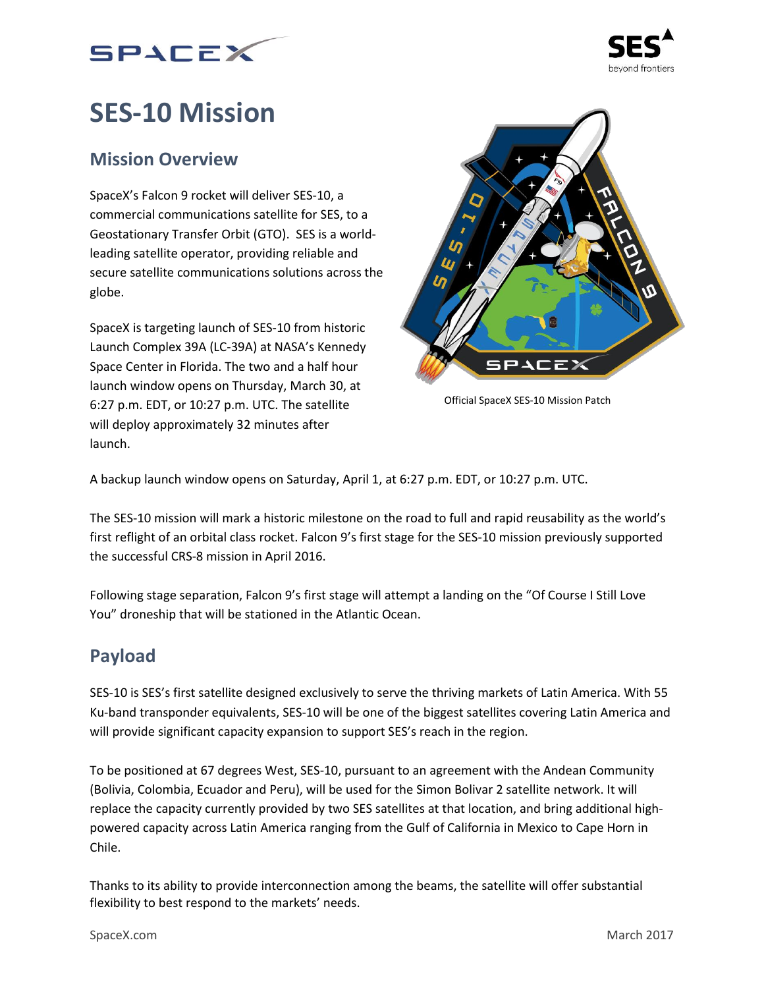



# **SES-10 Mission**

## **Mission Overview**

SpaceX's Falcon 9 rocket will deliver SES-10, a commercial communications satellite for SES, to a Geostationary Transfer Orbit (GTO). SES is a worldleading satellite operator, providing reliable and secure satellite communications solutions across the globe.

SpaceX is targeting launch of SES-10 from historic Launch Complex 39A (LC-39A) at NASA's Kennedy Space Center in Florida. The two and a half hour launch window opens on Thursday, March 30, at 6:27 p.m. EDT, or 10:27 p.m. UTC. The satellite will deploy approximately 32 minutes after launch.



Official SpaceX SES-10 Mission Patch

A backup launch window opens on Saturday, April 1, at 6:27 p.m. EDT, or 10:27 p.m. UTC.

The SES-10 mission will mark a historic milestone on the road to full and rapid reusability as the world's first reflight of an orbital class rocket. Falcon 9's first stage for the SES-10 mission previously supported the successful CRS-8 mission in April 2016.

Following stage separation, Falcon 9's first stage will attempt a landing on the "Of Course I Still Love You" droneship that will be stationed in the Atlantic Ocean.

## **Payload**

SES-10 is SES's first satellite designed exclusively to serve the thriving markets of Latin America. With 55 Ku-band transponder equivalents, SES-10 will be one of the biggest satellites covering Latin America and will provide significant capacity expansion to support SES's reach in the region.

To be positioned at 67 degrees West, SES-10, pursuant to an agreement with the Andean Community (Bolivia, Colombia, Ecuador and Peru), will be used for the Simon Bolivar 2 satellite network. It will replace the capacity currently provided by two SES satellites at that location, and bring additional highpowered capacity across Latin America ranging from the Gulf of California in Mexico to Cape Horn in Chile.

Thanks to its ability to provide interconnection among the beams, the satellite will offer substantial flexibility to best respond to the markets' needs.